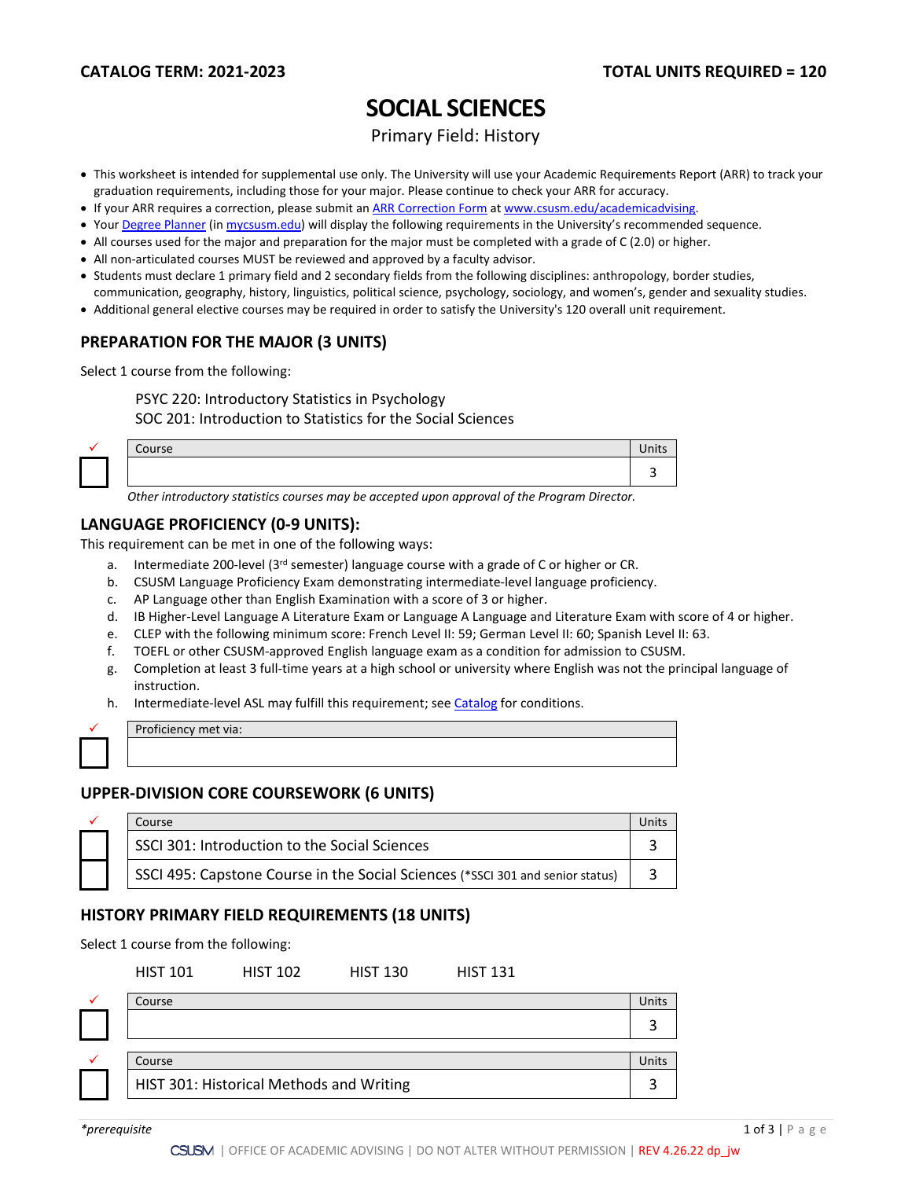# **SOCIAL SCIENCES**

Primary Field: History

- This worksheet is intended for supplemental use only. The University will use your Academic Requirements Report (ARR) to track your graduation requirements, including those for your major. Please continue to check your ARR for accuracy.
- If your ARR requires a correction, please submit an [ARR Correction Form](http://www.csusm.edu/academicadvising/arrcorrection/index.html) a[t www.csusm.edu/academicadvising.](http://www.csusm.edu/academicadvising)
- You[r Degree Planner](https://www.csusm.edu/academicadvising/degreeplanner/index.html) (i[n mycsusm.edu\)](https://my.csusm.edu/) will display the following requirements in the University's recommended sequence.
- All courses used for the major and preparation for the major must be completed with a grade of C (2.0) or higher.
- All non-articulated courses MUST be reviewed and approved by a faculty advisor.
- Students must declare 1 primary field and 2 secondary fields from the following disciplines: anthropology, border studies, communication, geography, history, linguistics, political science, psychology, sociology, and women's, gender and sexuality studies.
- Additional general elective courses may be required in order to satisfy the University's 120 overall unit requirement.

### **PREPARATION FOR THE MAJOR (3 UNITS)**

Select 1 course from the following:

PSYC 220: Introductory Statistics in Psychology

SOC 201: Introduction to Statistics for the Social Sciences

| $\sim$ | ∽<br>$\sim$<br>course | шь |
|--------|-----------------------|----|
|        |                       |    |

*Other introductory statistics courses may be accepted upon approval of the Program Director.*

#### **LANGUAGE PROFICIENCY (0-9 UNITS):**

This requirement can be met in one of the following ways:

- a. Intermediate 200-level (3rd semester) language course with a grade of C or higher or CR.
- b. CSUSM Language Proficiency Exam demonstrating intermediate-level language proficiency.
- c. AP Language other than English Examination with a score of 3 or higher.
- d. IB Higher-Level Language A Literature Exam or Language A Language and Literature Exam with score of 4 or higher.
- e. CLEP with the following minimum score: French Level II: 59; German Level II: 60; Spanish Level II: 63.
- f. TOEFL or other CSUSM-approved English language exam as a condition for admission to CSUSM.
- g. Completion at least 3 full-time years at a high school or university where English was not the principal language of instruction.
- h. Intermediate-level ASL may fulfill this requirement; see [Catalog](http://catalog.csusm.edu/) for conditions.

Proficiency met via:

#### **UPPER-DIVISION CORE COURSEWORK (6 UNITS)**

|  | Course                                                                         |  |
|--|--------------------------------------------------------------------------------|--|
|  | SSCI 301: Introduction to the Social Sciences                                  |  |
|  | SSCI 495: Capstone Course in the Social Sciences (*SSCI 301 and senior status) |  |

#### **HISTORY PRIMARY FIELD REQUIREMENTS (18 UNITS)**

Select 1 course from the following:

| <b>HIST 101</b> | <b>HIST 102</b> | <b>HIST 130</b> | <b>HIST 131</b> |
|-----------------|-----------------|-----------------|-----------------|
|                 |                 |                 |                 |

| Course                                   |  |
|------------------------------------------|--|
|                                          |  |
|                                          |  |
| Course                                   |  |
| HIST 301: Historical Methods and Writing |  |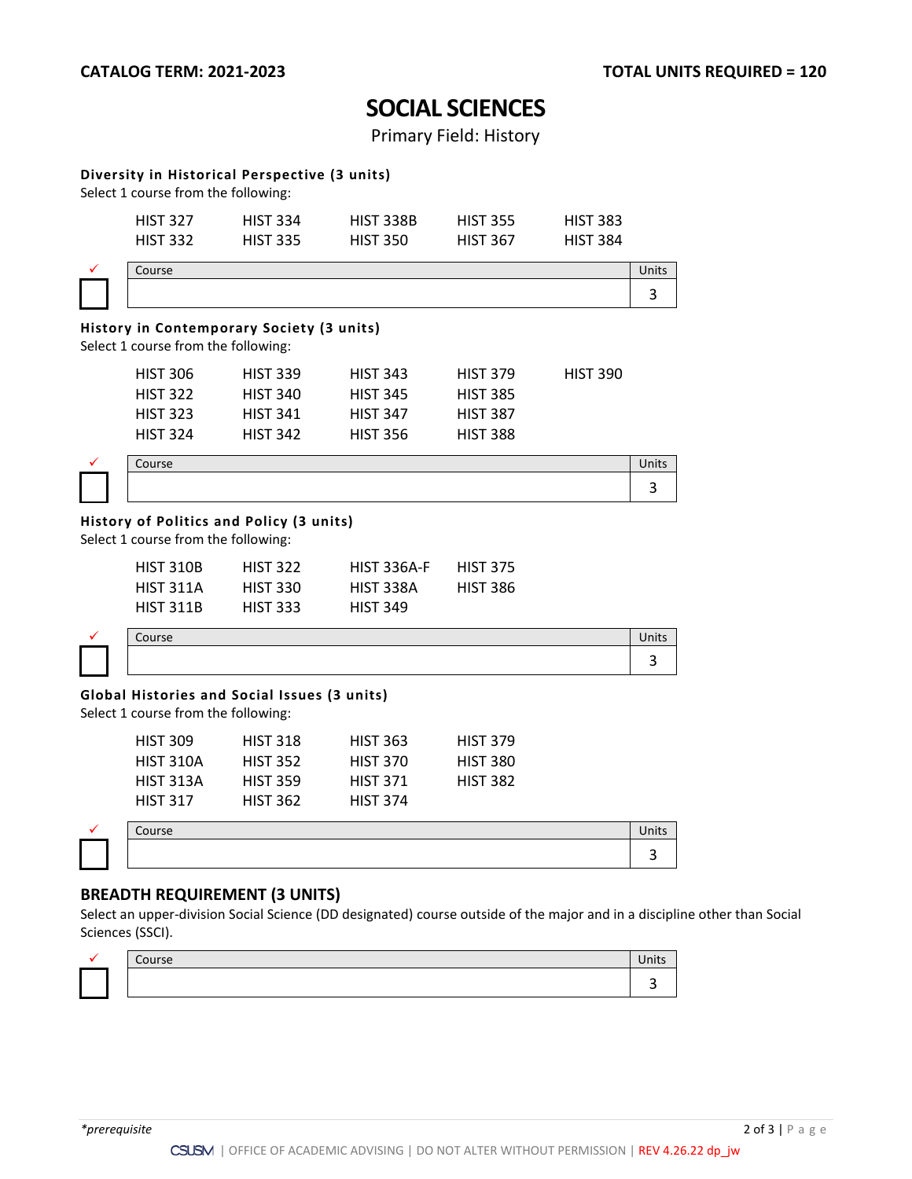3

3

## **SOCIAL SCIENCES**

Primary Field: History

#### **Diversity in Historical Perspective (3 units)**

Select 1 course from the following:

| <b>HIST 327</b> | <b>HIST 334</b> | HIST 338B       | <b>HIST 355</b> | <b>HIST 383</b> |
|-----------------|-----------------|-----------------|-----------------|-----------------|
| <b>HIST 332</b> | <b>HIST 335</b> | <b>HIST 350</b> | <b>HIST 367</b> | <b>HIST 384</b> |

| Course | лнь |
|--------|-----|
|        |     |

#### **History in Contemporary Society (3 units)**

Select 1 course from the following:

| <b>HIST 306</b> | <b>HIST 339</b> | <b>HIST 343</b> | <b>HIST 379</b> | <b>HIST 390</b> |
|-----------------|-----------------|-----------------|-----------------|-----------------|
| <b>HIST 322</b> | <b>HIST 340</b> | <b>HIST 345</b> | <b>HIST 385</b> |                 |
| <b>HIST 323</b> | <b>HIST 341</b> | <b>HIST 347</b> | <b>HIST 387</b> |                 |
| <b>HIST 324</b> | <b>HIST 342</b> | <b>HIST 356</b> | <b>HIST 388</b> |                 |

| $\sim$ $\sim$<br>CUUI SE |  |
|--------------------------|--|
|                          |  |

#### **History of Politics and Policy (3 units)**

Select 1 course from the following:

| <b>HIST 310B</b> | <b>HIST 322</b> | <b>HIST 336A-F</b> | <b>HIST 375</b> |
|------------------|-----------------|--------------------|-----------------|
| <b>HIST 311A</b> | <b>HIST 330</b> | <b>HIST 338A</b>   | <b>HIST 386</b> |
| <b>HIST 311B</b> | <b>HIST 333</b> | <b>HIST 349</b>    |                 |

 $\checkmark$  Course Units and  $\checkmark$  Units and  $\checkmark$  Units and  $\checkmark$  Units and  $\checkmark$  Units and  $\checkmark$  Units and  $\checkmark$  Units and  $\checkmark$  Units and  $\checkmark$  Units and  $\checkmark$  Units and  $\checkmark$  Units and  $\checkmark$  Units and  $\checkmark$  Units and  $\checkmark$ 

#### **Global Histories and Social Issues (3 units)**

Select 1 course from the following:

| <b>HIST 309</b>  | <b>HIST 318</b> | <b>HIST 363</b> | <b>HIST 379</b> |
|------------------|-----------------|-----------------|-----------------|
| <b>HIST 310A</b> | <b>HIST 352</b> | <b>HIST 370</b> | <b>HIST 380</b> |
| <b>HIST 313A</b> | <b>HIST 359</b> | <b>HIST 371</b> | <b>HIST 382</b> |
| <b>HIST 317</b>  | <b>HIST 362</b> | <b>HIST 374</b> |                 |

 $\checkmark$  Course Units and  $\checkmark$  Units and  $\checkmark$  Units and  $\checkmark$  Units and  $\checkmark$  Units and  $\checkmark$  Units and  $\checkmark$  Units and  $\checkmark$  Units and  $\checkmark$  Units and  $\checkmark$  Units and  $\checkmark$  Units and  $\checkmark$  Units and  $\checkmark$  Units and  $\checkmark$ 

### **BREADTH REQUIREMENT (3 UNITS)**

Select an upper-division Social Science (DD designated) course outside of the major and in a discipline other than Social Sciences (SSCI).

| ------<br>ے ت |  |
|---------------|--|
|               |  |